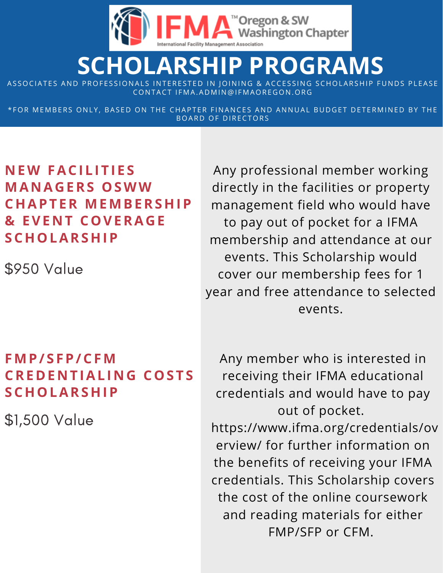

# **SCHOLARSHIP PROGRAMS**

ASSOCIATES AND PROFESSIONALS INTERESTED IN JOINING & ACCESSING SCHOLARSHIP FUNDS PLEASE CONTACT I FMA.A DMIN @ I FMAORE GON.OR G

\*FOR MEMBERS ONLY, BASED ON THE CHAPTER FINANCES AND ANNUAL BUDGET DETERMINED BY THE BOARD OF DIRECTORS

### **N EW FACI L I T I E S MA N A G ERS OSWW CHAPTER MEMBERSHIP & EVE N T COVERA G E SCHOLARSHIP**

\$950 Value

#### **FMP/ S FP/CFM CRE D E N T IAL I N G COS T S SCHOLARSHIP**

\$1,500 Value

Any professional member working directly in the facilities or property management field who would have to pay out of pocket for a IFMA membership and attendance at our events. This Scholarship would cover our membership fees for 1 year and free attendance to selected events.

Any member who is interested in receiving their IFMA educational credentials and would have to pay out of pocket.

[https://www.ifma.org/credentials/ov](https://www.ifma.org/credentials/overview/) erview/ for further information on the benefits of receiving your IFMA credentials. This Scholarship covers the cost of the online coursework and reading materials for either FMP/SFP or CFM.